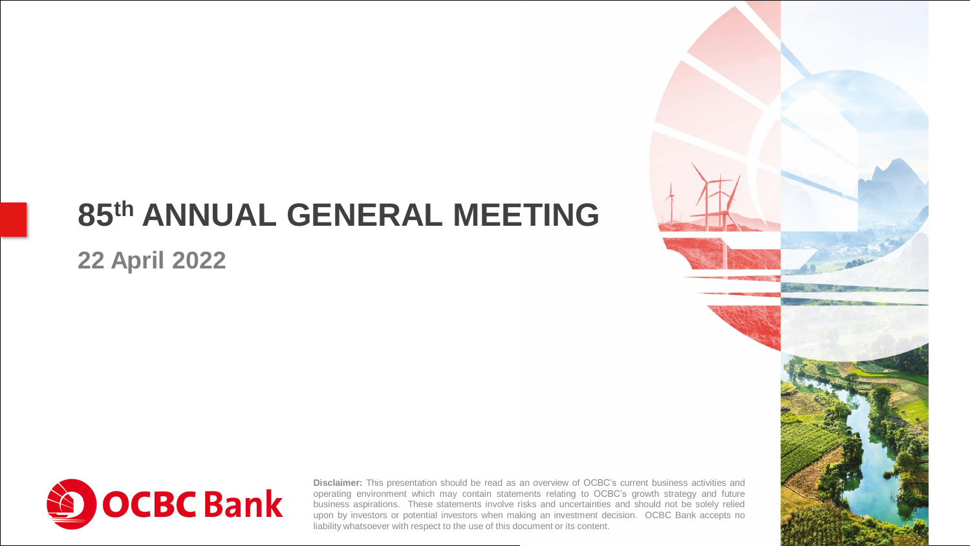#### **GROUP CHIEF EXECUTIVE OF EXECUTIVE OF EXECUTIVE OF EXECUTIVE OF EXECUTIVE OF EXECUTIVE OF EXECUTIVE OF EXECUTIVE 85th ANNUAL GENERAL MEETING**

#### **22 April 2022**



**Disclaimer:** This presentation should be read as an overview of OCBC's current business activities and operating environment which may contain statements relating to OCBC's growth strategy and future business aspirations. These statements involve risks and uncertainties and should not be solely relied upon by investors or potential investors when making an investment decision. OCBC Bank accepts no liability whatsoever with respect to the use of this document or its content.

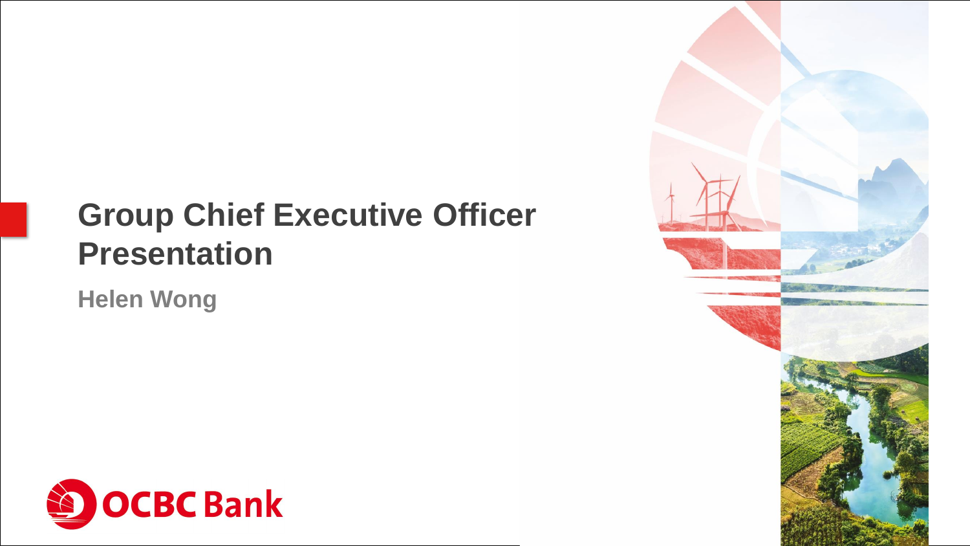#### **Group Children Group Chief Executive Officer Presentation**

**Helen Wong**



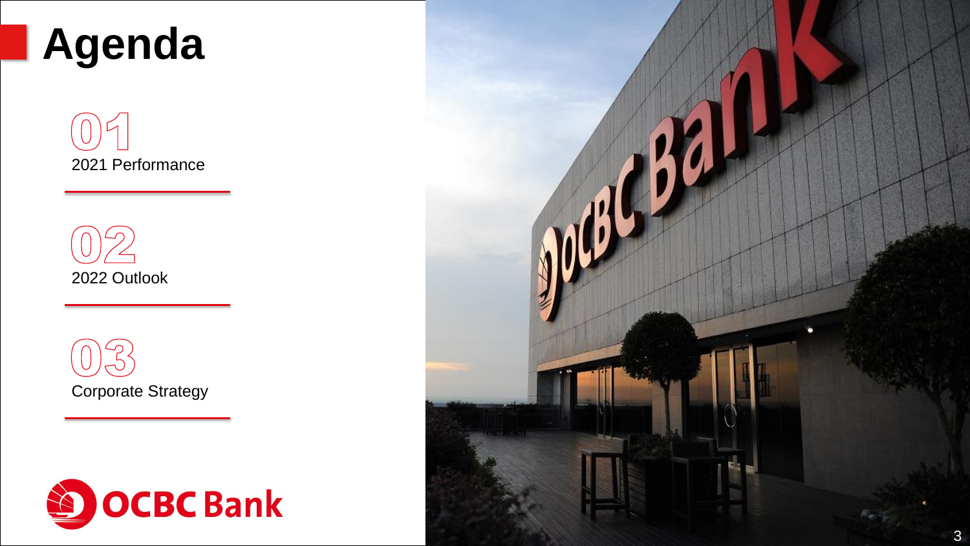# **Agenda**

2021 Performance

2022 Outlook





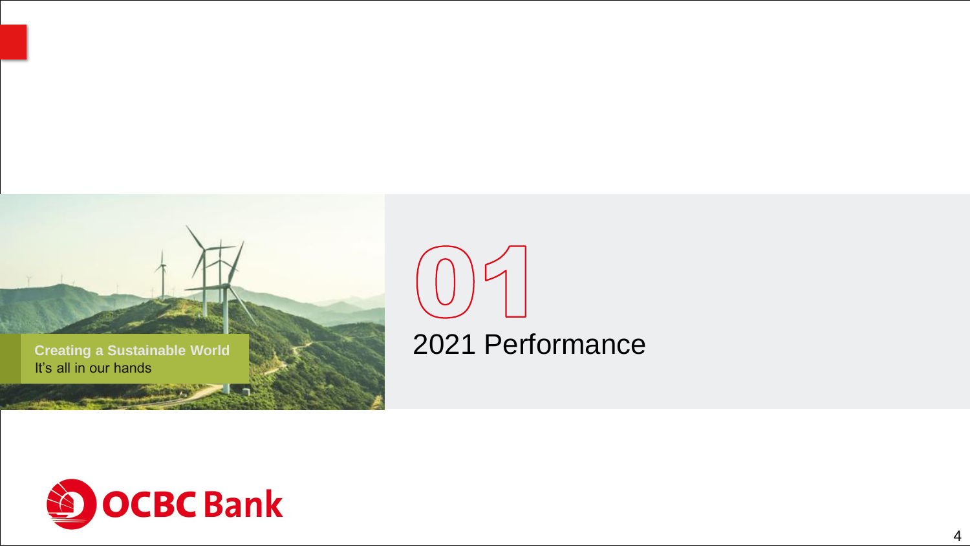

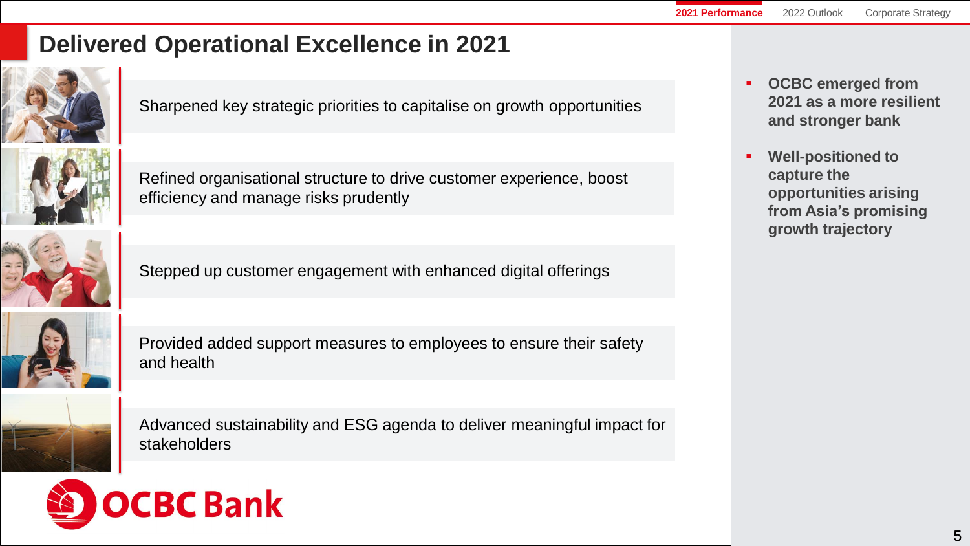# **Delivered Operational Excellence in 2021**



Sharpened key strategic priorities to capitalise on growth opportunities

Refined organisational structure to drive customer experience, boost efficiency and manage risks prudently



Stepped up customer engagement with enhanced digital offerings

Provided added support measures to employees to ensure their safety and health



Advanced sustainability and ESG agenda to deliver meaningful impact for stakeholders



- **OCBC emerged from 2021 as a more resilient and stronger bank**
- **Well-positioned to capture the opportunities arising from Asia's promising growth trajectory**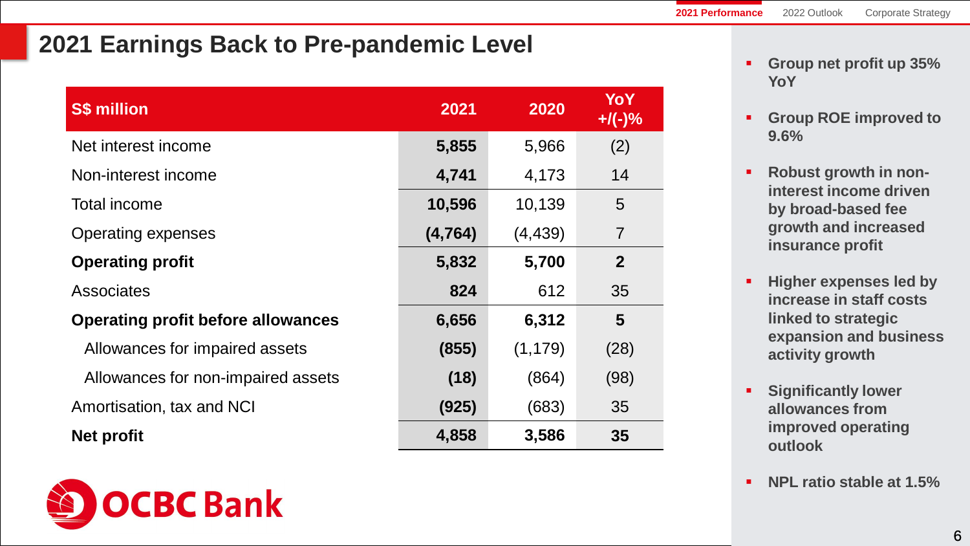#### **2021 Earnings Back to Pre-pandemic Level**

| <b>S\$ million</b>                        | 2021     | 2020     | YoY<br>$+$ /(-)% |
|-------------------------------------------|----------|----------|------------------|
| Net interest income                       | 5,855    | 5,966    | (2)              |
| Non-interest income                       | 4,741    | 4,173    | 14               |
| <b>Total income</b>                       | 10,596   | 10,139   | 5                |
| <b>Operating expenses</b>                 | (4, 764) | (4, 439) | $\overline{7}$   |
| <b>Operating profit</b>                   | 5,832    | 5,700    | $\overline{2}$   |
| <b>Associates</b>                         | 824      | 612      | 35               |
| <b>Operating profit before allowances</b> | 6,656    | 6,312    | $5\phantom{.0}$  |
| Allowances for impaired assets            | (855)    | (1, 179) | (28)             |
| Allowances for non-impaired assets        | (18)     | (864)    | (98)             |
| Amortisation, tax and NCI                 | (925)    | (683)    | 35               |
| <b>Net profit</b>                         | 4,858    | 3,586    | 35               |



- **Group ROE improved to 9.6%**
- **Robust growth in noninterest income driven by broad-based fee growth and increased insurance profit**
- **Higher expenses led by increase in staff costs linked to strategic expansion and business activity growth**
- **Significantly lower allowances from improved operating outlook**
- **NPL ratio stable at 1.5%**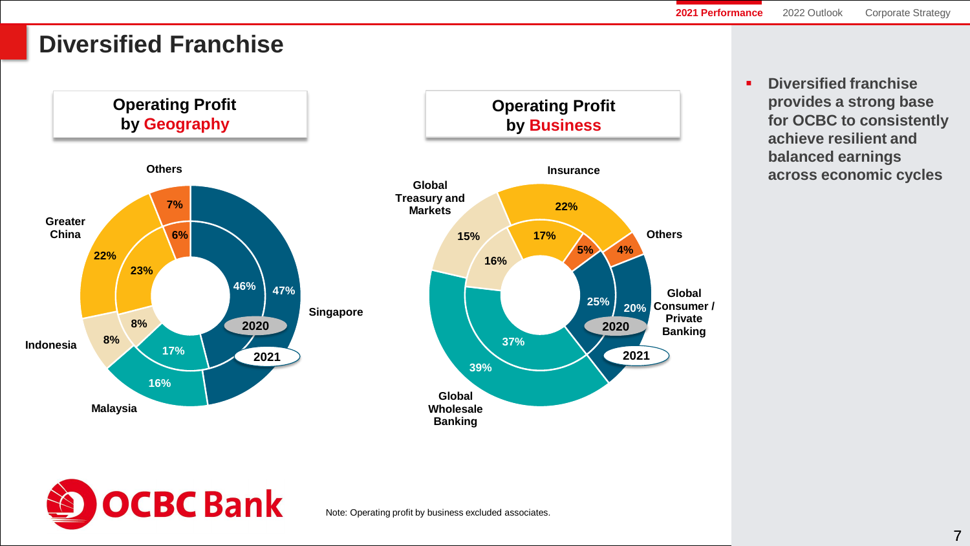# **Diversified Franchise**



▪ **Diversified franchise provides a strong base for OCBC to consistently achieve resilient and balanced earnings across economic cycles**

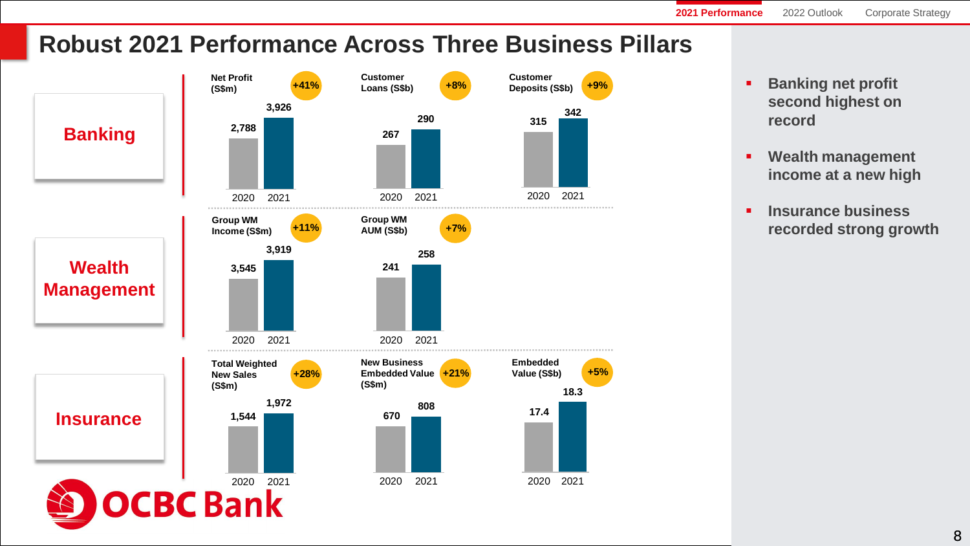**2021 Performance** 2022 Outlook Corporate Strategy

# **Robust 2021 Performance Across Three Business Pillars**



- **Banking net profit second highest on record**
- **Wealth management income at a new high**
- **Insurance business recorded strong growth**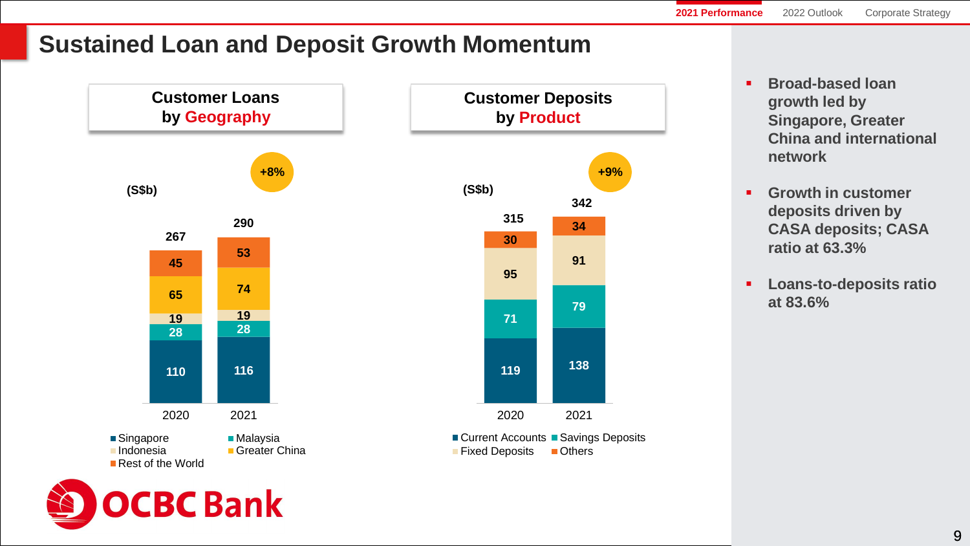## **Sustained Loan and Deposit Growth Momentum**





- **Broad-based loan growth led by Singapore, Greater China and international network**
- **Growth in customer deposits driven by CASA deposits; CASA ratio at 63.3%**
- **Loans-to-deposits ratio at 83.6%**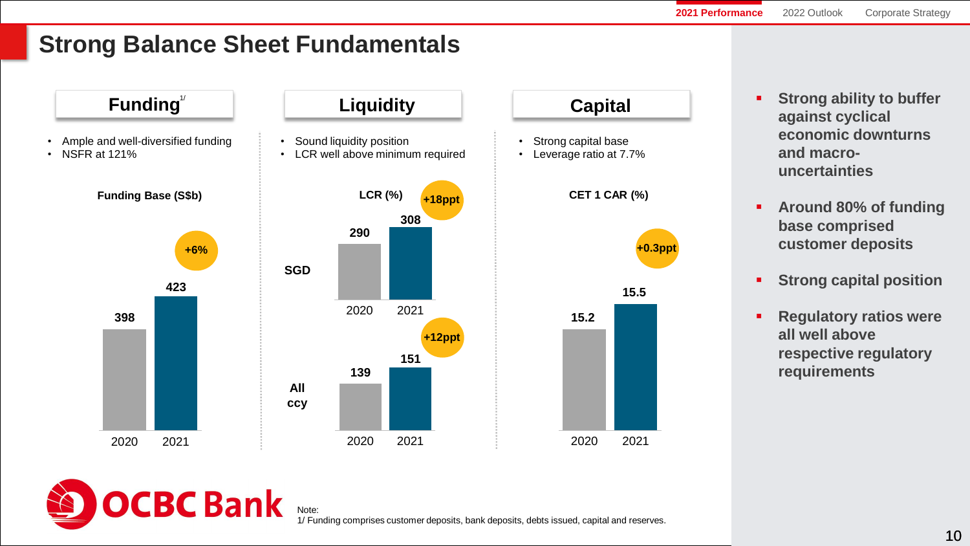# **Strong Balance Sheet Fundamentals**



- **Example 1 Strong ability to buffer against cyclical economic downturns and macrouncertainties**
- **Around 80% of funding base comprised customer deposits**
- **Strong capital position**
- **Regulatory ratios were all well above respective regulatory requirements**



1/ Funding comprises customer deposits, bank deposits, debts issued, capital and reserves.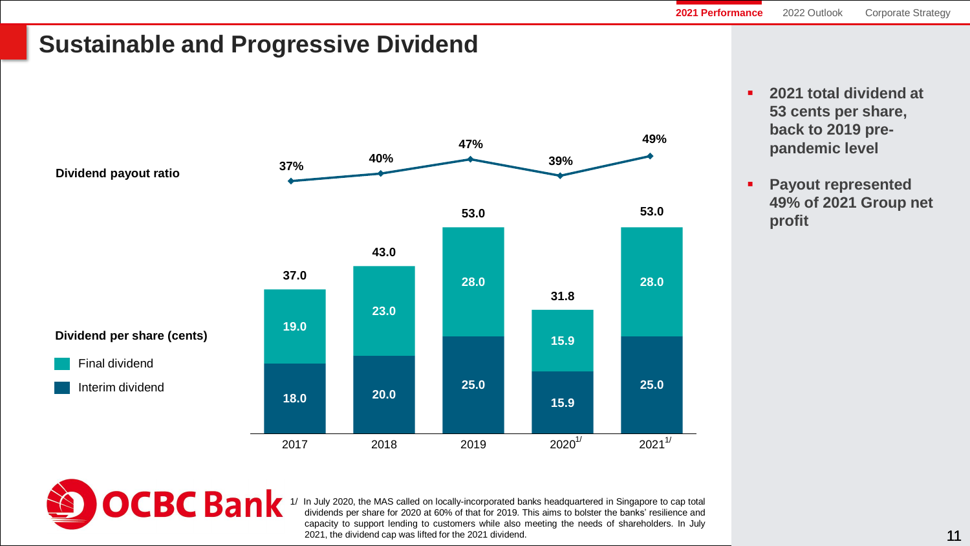## **Sustainable and Progressive Dividend**



- **2021 total dividend at 53 cents per share, back to 2019 prepandemic level**
- **Payout represented 49% of 2021 Group net profit**



1/ In July 2020, the MAS called on locally-incorporated banks headquartered in Singapore to cap total dividends per share for 2020 at 60% of that for 2019. This aims to bolster the banks' resilience and capacity to support lending to customers while also meeting the needs of shareholders. In July 2021, the dividend cap was lifted for the 2021 dividend.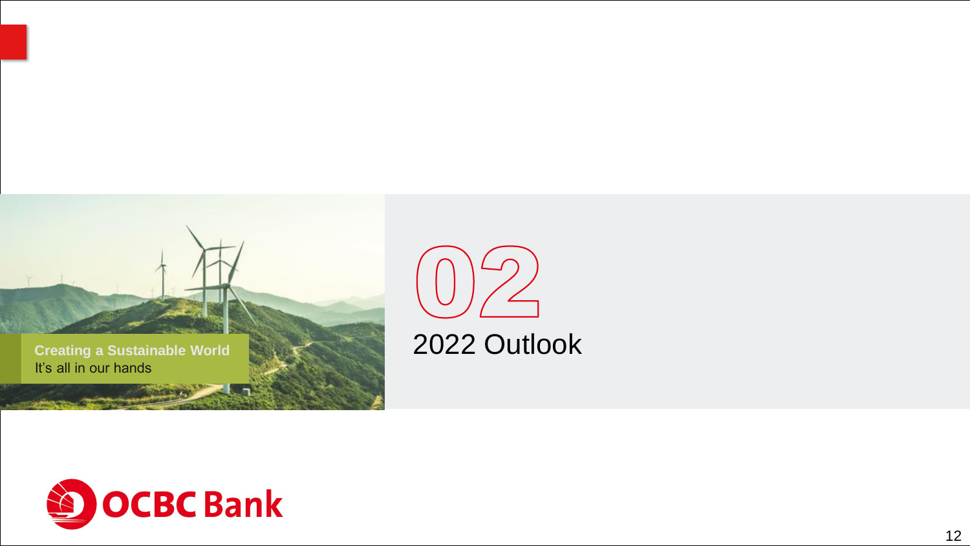



2022 Outlook

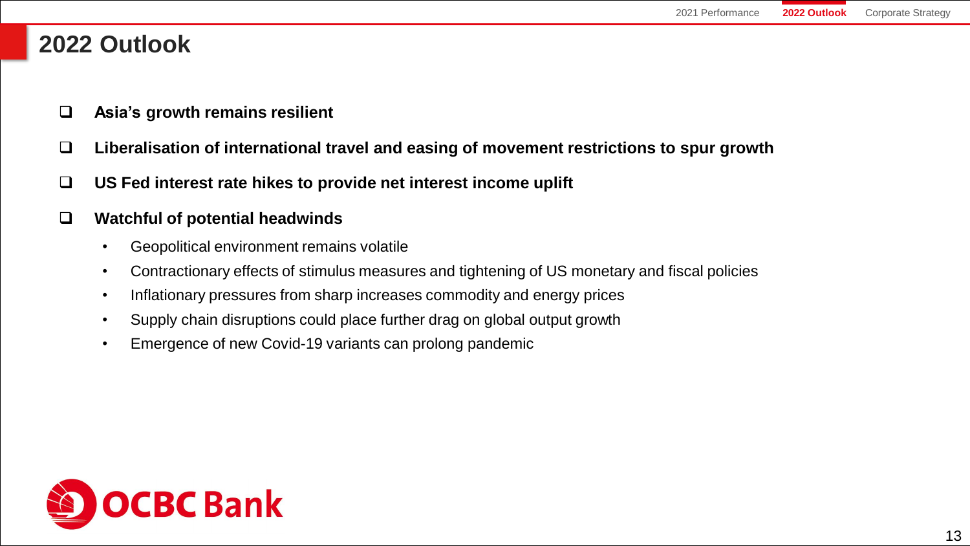#### **2022 Outlook**

- ❑ **Asia's growth remains resilient**
- ❑ **Liberalisation of international travel and easing of movement restrictions to spur growth**
- ❑ **US Fed interest rate hikes to provide net interest income uplift**

#### ❑ **Watchful of potential headwinds**

- Geopolitical environment remains volatile
- Contractionary effects of stimulus measures and tightening of US monetary and fiscal policies
- Inflationary pressures from sharp increases commodity and energy prices
- Supply chain disruptions could place further drag on global output growth
- Emergence of new Covid-19 variants can prolong pandemic

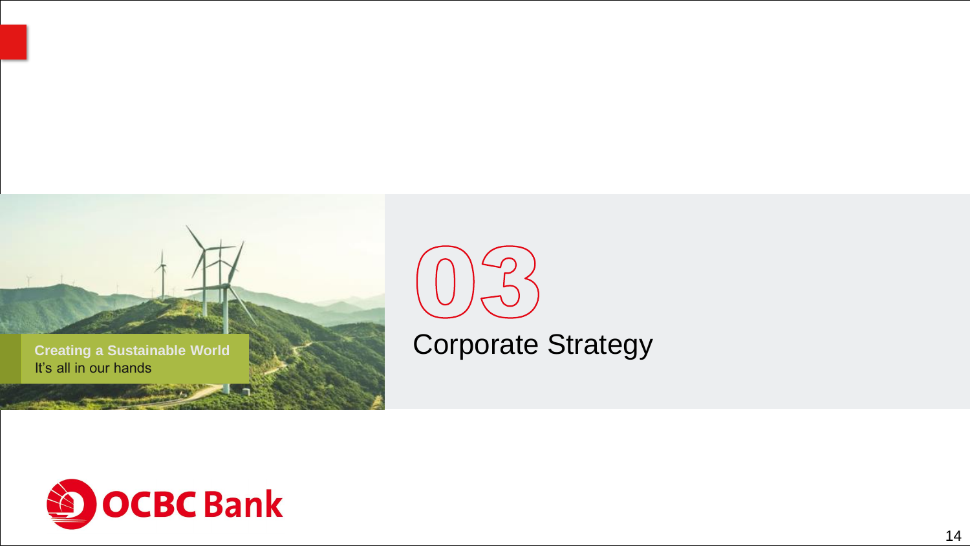



Corporate Strategy

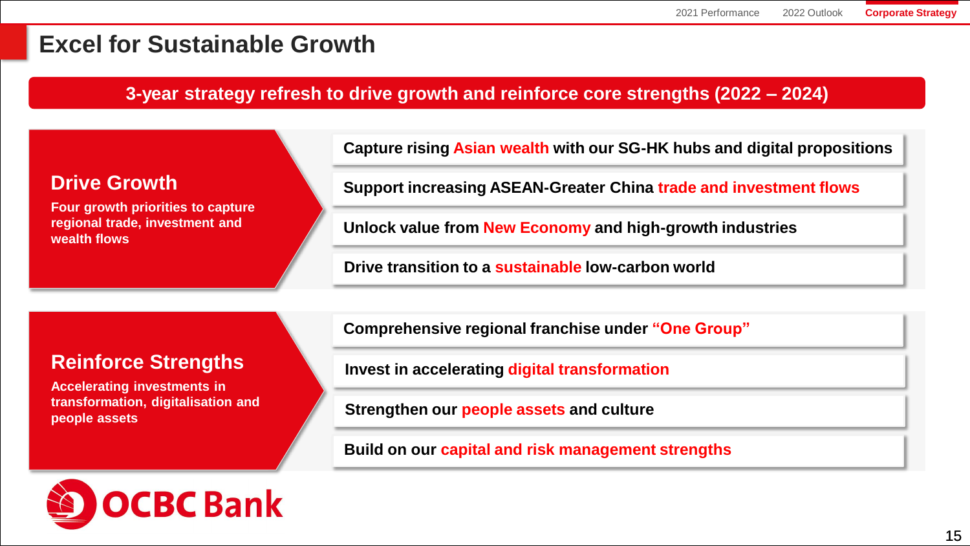#### **Excel for Sustainable Growth**

#### **3-year strategy refresh to drive growth and reinforce core strengths (2022 – 2024)**

| <b>Drive Growth</b> |
|---------------------|
|---------------------|

**Four growth priorities to capture regional trade, investment and wealth flows**

**Capture rising Asian wealth with our SG-HK hubs and digital propositions**

**Support increasing ASEAN-Greater China trade and investment flows**

**Unlock value from New Economy and high-growth industries**

**Drive transition to a sustainable low-carbon world**

#### **Reinforce Strengths**

**Accelerating investments in transformation, digitalisation and people assets**

**Comprehensive regional franchise under "One Group"** 

**Invest in accelerating digital transformation** 

**Strengthen our people assets and culture**

**Build on our capital and risk management strengths**

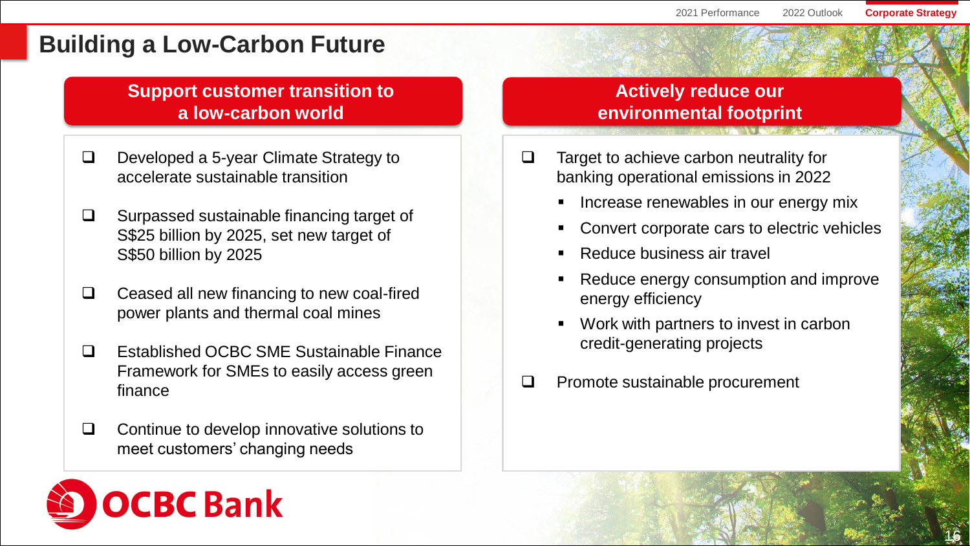#### **Building a Low-Carbon Future**

**Support customer transition to a low-carbon world**

- ❑ Developed a 5-year Climate Strategy to accelerate sustainable transition
- ❑ Surpassed sustainable financing target of S\$25 billion by 2025, set new target of S\$50 billion by 2025
- ❑ Ceased all new financing to new coal-fired power plants and thermal coal mines
- ❑ Established OCBC SME Sustainable Finance Framework for SMEs to easily access green finance

❑ Continue to develop innovative solutions to meet customers' changing needs

#### **Actively reduce our environmental footprint**

- ❑ Target to achieve carbon neutrality for banking operational emissions in 2022
	- **EXP** Increase renewables in our energy mix
	- Convert corporate cars to electric vehicles
	- Reduce business air travel
	- Reduce energy consumption and improve energy efficiency
	- Work with partners to invest in carbon credit-generating projects
- ❑ Promote sustainable procurement

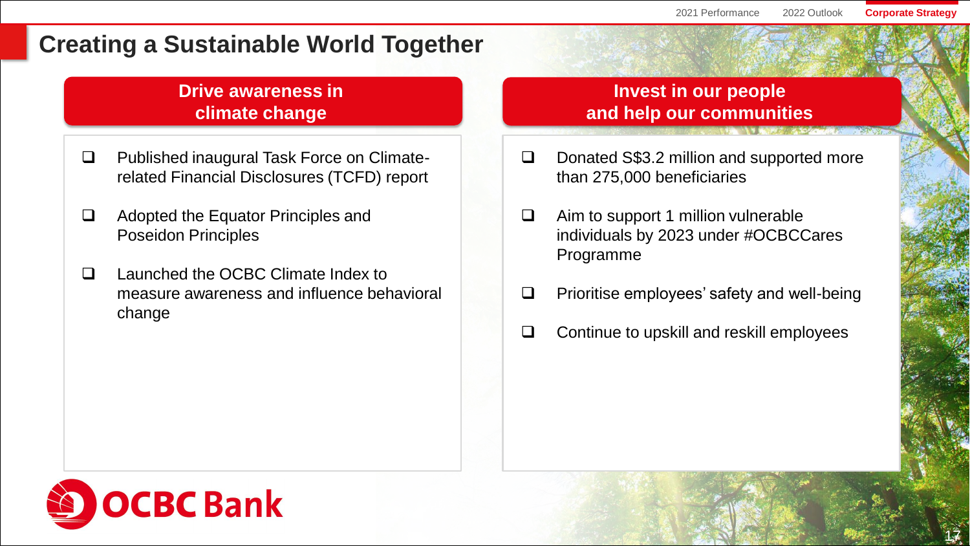17

#### **Creating a Sustainable World Together**

#### **Drive awareness in climate change**

- ❑ Published inaugural Task Force on Climaterelated Financial Disclosures (TCFD) report
- ❑ Adopted the Equator Principles and Poseidon Principles
- ❑ Launched the OCBC Climate Index to measure awareness and influence behavioral change

#### **Invest in our people and help our communities**

- ❑ Donated S\$3.2 million and supported more than 275,000 beneficiaries
- ❑ Aim to support 1 million vulnerable individuals by 2023 under #OCBCCares Programme
- ❑ Prioritise employees' safety and well-being
- ❑ Continue to upskill and reskill employees